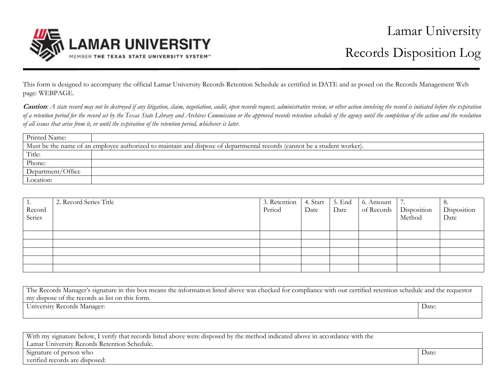

This form is designed to accompany the official Lamar University Records Retention Schedule as certified in DATE and as posed on the Records Management Web page: WEBPAGE.

**Caution***: A state record may not be destroyed if any litigation, claim, negotiation, audit, open records request, administrative review, or other action involving the record is initiated before the expiration of a retention period for the record set by the Texas State Library and Archives Commission or the approved records retention schedule of the agency until the completion of the action and the resolution of all issues that arise from it, or until the expiration of the retention period, whichever is later.* 

| Printed Name:                                                                                                            |  |  |  |  |  |
|--------------------------------------------------------------------------------------------------------------------------|--|--|--|--|--|
| Must be the name of an employee authorized to maintain and dispose of departmental records (cannot be a student worker). |  |  |  |  |  |
| Title:                                                                                                                   |  |  |  |  |  |
| Phone:                                                                                                                   |  |  |  |  |  |
| Department/Office                                                                                                        |  |  |  |  |  |
| Location:                                                                                                                |  |  |  |  |  |

| 1.<br>Record<br>Series | 2. Record Series Title | 3. Retention<br>Period | 4. Start  <br>Date | 5. End<br>Date | 6. Amount<br>of Records   Disposition | $\perp$ 7.<br>Method | ŏ.<br>Disposition<br>Date |
|------------------------|------------------------|------------------------|--------------------|----------------|---------------------------------------|----------------------|---------------------------|
|                        |                        |                        |                    |                |                                       |                      |                           |
|                        |                        |                        |                    |                |                                       |                      |                           |
|                        |                        |                        |                    |                |                                       |                      |                           |
|                        |                        |                        |                    |                |                                       |                      |                           |
|                        |                        |                        |                    |                |                                       |                      |                           |

| The Records Manager's signature in this box means the information listed above was checked for compliance with our certified retention schedule and the requestor |       |  |  |  |
|-------------------------------------------------------------------------------------------------------------------------------------------------------------------|-------|--|--|--|
| my dispose of the records as list on this form.                                                                                                                   |       |  |  |  |
| University Records Manager:                                                                                                                                       | Date: |  |  |  |
|                                                                                                                                                                   |       |  |  |  |

| With my signature below, I verify that records listed above were disposed by the method indicated above in accordance with the |       |  |  |
|--------------------------------------------------------------------------------------------------------------------------------|-------|--|--|
| Lamar University Records Retention Schedule.                                                                                   |       |  |  |
| Signature of person who                                                                                                        | Date: |  |  |
| verified records are disposed:                                                                                                 |       |  |  |